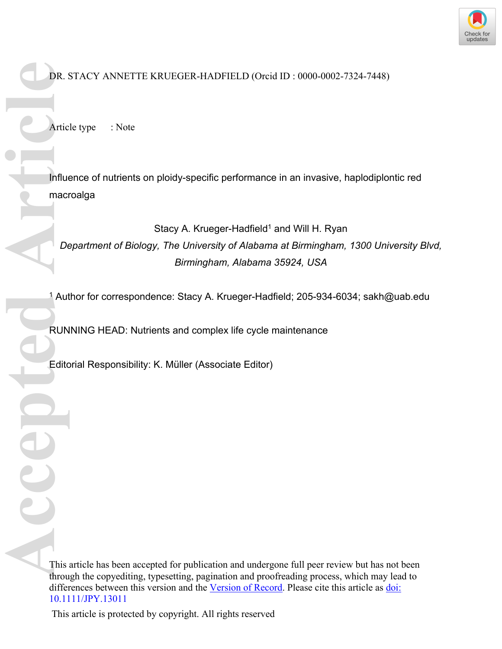

DR. STACY ANNETTE KRUEGER-HADFIELD (Orcid ID : 0000-0002-7324-7448)

Article type : Note

Influence of nutrients on ploidy-specific performance in an invasive, haplodiplontic red macroalga **Exact DR. S**<br> **Artic**<br> **Accepted Artic**<br> **Act De Edito**<br> **Act De Edito**<br> **Act De Edito**<br> **Act De Edito** 

Stacy A. Krueger-Hadfield<sup>1</sup> and Will H. Ryan *Department of Biology, The University of Alabama at Birmingham, 1300 University Blvd, Birmingham, Alabama 35924, USA*

1 Author for correspondence: Stacy A. Krueger-Hadfield; 205-934-6034; [sakh@uab.edu](mailto:sakh@uab.edu)

RUNNING HEAD: Nutrients and complex life cycle maintenance

Editorial Responsibility: K. Müller (Associate Editor)

This article has been accepted for publication and undergone full peer review but has not been through the copyediting, typesetting, pagination and proofreading process, which may lead to differences between this version and the [Version of Record.](https://doi.org/10.1111/JPY.13011-19-209) Please cite this article as [doi:](https://doi.org/10.1111/JPY.13011-19-209)  [10.1111/JPY.13011](https://doi.org/10.1111/JPY.13011-19-209)

This article is protected by copyright. All rights reserved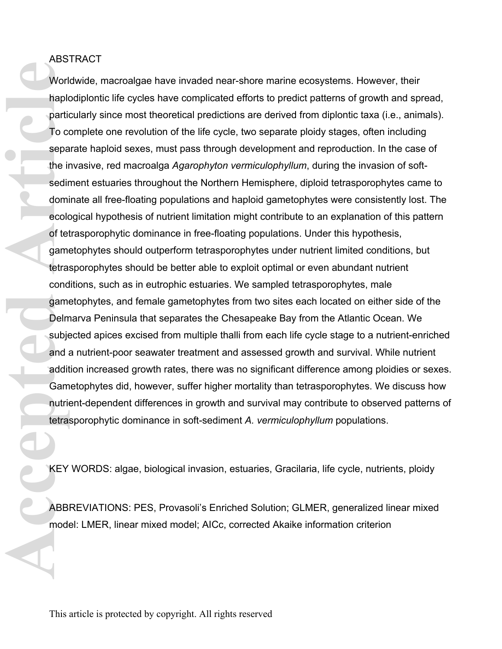## ABSTRACT

Worldwide, macroalgae have invaded near-shore marine ecosystems. However, their haplodiplontic life cycles have complicated efforts to predict patterns of growth and spread, particularly since most theoretical predictions are derived from diplontic taxa (i.e., animals). To complete one revolution of the life cycle, two separate ploidy stages, often including separate haploid sexes, must pass through development and reproduction. In the case of the invasive, red macroalga *Agarophyton vermiculophyllum*, during the invasion of softsediment estuaries throughout the Northern Hemisphere, diploid tetrasporophytes came to dominate all free-floating populations and haploid gametophytes were consistently lost. The ecological hypothesis of nutrient limitation might contribute to an explanation of this pattern of tetrasporophytic dominance in free-floating populations. Under this hypothesis, gametophytes should outperform tetrasporophytes under nutrient limited conditions, but tetrasporophytes should be better able to exploit optimal or even abundant nutrient conditions, such as in eutrophic estuaries. We sampled tetrasporophytes, male gametophytes, and female gametophytes from two sites each located on either side of the Delmarva Peninsula that separates the Chesapeake Bay from the Atlantic Ocean. We subjected apices excised from multiple thalli from each life cycle stage to a nutrient-enriched and a nutrient-poor seawater treatment and assessed growth and survival. While nutrient addition increased growth rates, there was no significant difference among ploidies or sexes. Gametophytes did, however, suffer higher mortality than tetrasporophytes. We discuss how nutrient-dependent differences in growth and survival may contribute to observed patterns of tetrasporophytic dominance in soft-sediment *A. vermiculophyllum* populations. Worl<br>
hapk<br>
partic<br>
To cx<br>
sepa<br>
the irsedir<br>
domi<br>
ecolor<br>
of tel<br>
domi<br>
ecolor<br>
of tel<br>
game<br>
tetra:<br>
cond<br>
game<br>
Delm<br>
subje<br>
and ;<br>
addit<br>
Gamm<br>
addit<br>
Gamm<br>
addit<br>
Gamm<br>
tetra:<br>
addit<br>
Gamm<br>
tetra:<br>
addit<br>
Gamm<br>
nutri

KEY WORDS: algae, biological invasion, estuaries, Gracilaria, life cycle, nutrients, ploidy

ABBREVIATIONS: PES, Provasoli's Enriched Solution; GLMER, generalized linear mixed model: LMER, linear mixed model; AICc, corrected Akaike information criterion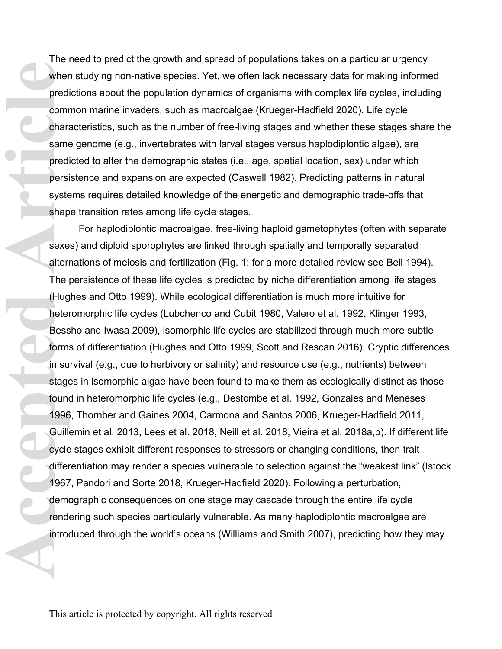The need to predict the growth and spread of populations takes on a particular urgency when studying non-native species. Yet, we often lack necessary data for making informed predictions about the population dynamics of organisms with complex life cycles, including common marine invaders, such as macroalgae (Krueger-Hadfield 2020). Life cycle characteristics, such as the number of free-living stages and whether these stages share the same genome (e.g., invertebrates with larval stages versus haplodiplontic algae), are predicted to alter the demographic states (i.e., age, spatial location, sex) under which persistence and expansion are expected (Caswell 1982). Predicting patterns in natural systems requires detailed knowledge of the energetic and demographic trade-offs that shape transition rates among life cycle stages.

For haplodiplontic macroalgae, free-living haploid gametophytes (often with separate sexes) and diploid sporophytes are linked through spatially and temporally separated alternations of meiosis and fertilization (Fig. 1; for a more detailed review see Bell 1994). The persistence of these life cycles is predicted by niche differentiation among life stages (Hughes and Otto 1999). While ecological differentiation is much more intuitive for heteromorphic life cycles (Lubchenco and Cubit 1980, Valero et al. 1992, Klinger 1993, Bessho and Iwasa 2009), isomorphic life cycles are stabilized through much more subtle forms of differentiation (Hughes and Otto 1999, Scott and Rescan 2016). Cryptic differences in survival (e.g., due to herbivory or salinity) and resource use (e.g., nutrients) between stages in isomorphic algae have been found to make them as ecologically distinct as those found in heteromorphic life cycles (e.g., Destombe et al. 1992, Gonzales and Meneses 1996, Thornber and Gaines 2004, Carmona and Santos 2006, Krueger-Hadfield 2011, Guillemin et al. 2013, Lees et al. 2018, Neill et al. 2018, Vieira et al. 2018a,b). If different life cycle stages exhibit different responses to stressors or changing conditions, then trait differentiation may render a species vulnerable to selection against the "weakest link" (Istock 1967, Pandori and Sorte 2018, Krueger-Hadfield 2020). Following a perturbation, demographic consequences on one stage may cascade through the entire life cycle rendering such species particularly vulnerable. As many haplodiplontic macroalgae are introduced through the world's oceans (Williams and Smith 2007), predicting how they may Wher<br>
predi<br>
comm<br>
chara<br>
same<br>
predi<br>
predi<br>
predi<br>
predi<br>
predi<br>
predi<br>
predi<br>
predi<br>
predi<br>
predi<br>
predi<br>
predi<br>
predi<br>
predi<br>
stage<br>
ditern<br>
The II Sudge<br>
form: in su<br>
stage<br>
found<br>
1996<br>
Guilli<br>
cycle<br>
differ<br>
1967<br>
d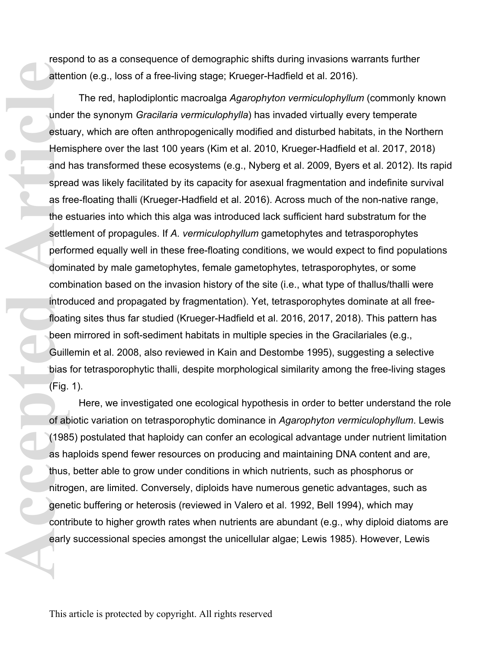respond to as a consequence of demographic shifts during invasions warrants further attention (e.g., loss of a free-living stage; Krueger-Hadfield et al. 2016).

The red, haplodiplontic macroalga *Agarophyton vermiculophyllum* (commonly known under the synonym *Gracilaria vermiculophylla*) has invaded virtually every temperate estuary, which are often anthropogenically modified and disturbed habitats, in the Northern Hemisphere over the last 100 years (Kim et al. 2010, Krueger-Hadfield et al. 2017, 2018) and has transformed these ecosystems (e.g., Nyberg et al. 2009, Byers et al. 2012). Its rapid spread was likely facilitated by its capacity for asexual fragmentation and indefinite survival as free-floating thalli (Krueger-Hadfield et al. 2016). Across much of the non-native range, the estuaries into which this alga was introduced lack sufficient hard substratum for the settlement of propagules. If *A. vermiculophyllum* gametophytes and tetrasporophytes performed equally well in these free-floating conditions, we would expect to find populations dominated by male gametophytes, female gametophytes, tetrasporophytes, or some combination based on the invasion history of the site (i.e., what type of thallus/thalli were introduced and propagated by fragmentation). Yet, tetrasporophytes dominate at all freefloating sites thus far studied (Krueger-Hadfield et al. 2016, 2017, 2018). This pattern has been mirrored in soft-sediment habitats in multiple species in the Gracilariales (e.g., Guillemin et al. 2008, also reviewed in Kain and Destombe 1995), suggesting a selective bias for tetrasporophytic thalli, despite morphological similarity among the free-living stages (Fig. 1). atten<br>
and I spread Hem<br>
and I spread as fire e<br>
settle<br>
perfc domii comii intro<br>
floatii been<br>
Guille bias<br>
(Fig.<br>
of ab<br>
(198<br>
as ha (198<br>
as ha thus, nitro<br>
gene contr<br>
early

Here, we investigated one ecological hypothesis in order to better understand the role of abiotic variation on tetrasporophytic dominance in *Agarophyton vermiculophyllum*. Lewis (1985) postulated that haploidy can confer an ecological advantage under nutrient limitation as haploids spend fewer resources on producing and maintaining DNA content and are, thus, better able to grow under conditions in which nutrients, such as phosphorus or nitrogen, are limited. Conversely, diploids have numerous genetic advantages, such as genetic buffering or heterosis (reviewed in Valero et al. 1992, Bell 1994), which may contribute to higher growth rates when nutrients are abundant (e.g., why diploid diatoms are early successional species amongst the unicellular algae; Lewis 1985). However, Lewis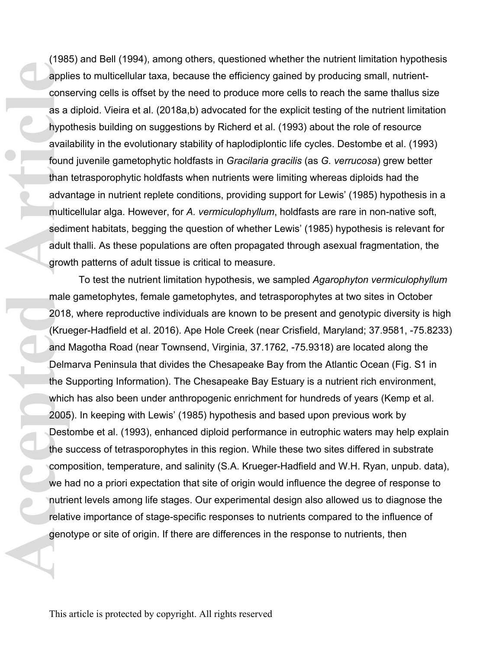(1985) and Bell (1994), among others, questioned whether the nutrient limitation hypothesis applies to multicellular taxa, because the efficiency gained by producing small, nutrientconserving cells is offset by the need to produce more cells to reach the same thallus size as a diploid. Vieira et al. (2018a,b) advocated for the explicit testing of the nutrient limitation hypothesis building on suggestions by Richerd et al. (1993) about the role of resource availability in the evolutionary stability of haplodiplontic life cycles. Destombe et al. (1993) found juvenile gametophytic holdfasts in *Gracilaria gracilis* (as *G. verrucosa*) grew better than tetrasporophytic holdfasts when nutrients were limiting whereas diploids had the advantage in nutrient replete conditions, providing support for Lewis' (1985) hypothesis in a multicellular alga. However, for *A. vermiculophyllum*, holdfasts are rare in non-native soft, sediment habitats, begging the question of whether Lewis' (1985) hypothesis is relevant for adult thalli. As these populations are often propagated through asexual fragmentation, the growth patterns of adult tissue is critical to measure.

To test the nutrient limitation hypothesis, we sampled *Agarophyton vermiculophyllum* male gametophytes, female gametophytes, and tetrasporophytes at two sites in October 2018, where reproductive individuals are known to be present and genotypic diversity is high (Krueger-Hadfield et al. 2016). Ape Hole Creek (near Crisfield, Maryland; 37.9581, -75.8233) and Magotha Road (near Townsend, Virginia, 37.1762, -75.9318) are located along the Delmarva Peninsula that divides the Chesapeake Bay from the Atlantic Ocean (Fig. S1 in the Supporting Information). The Chesapeake Bay Estuary is a nutrient rich environment, which has also been under anthropogenic enrichment for hundreds of years (Kemp et al. 2005). In keeping with Lewis' (1985) hypothesis and based upon previous work by Destombe et al. (1993), enhanced diploid performance in eutrophic waters may help explain the success of tetrasporophytes in this region. While these two sites differed in substrate composition, temperature, and salinity (S.A. Krueger-Hadfield and W.H. Ryan, unpub. data), we had no a priori expectation that site of origin would influence the degree of response to nutrient levels among life stages. Our experimental design also allowed us to diagnose the relative importance of stage-specific responses to nutrients compared to the influence of genotype or site of origin. If there are differences in the response to nutrients, then **Acception**<br> **Acception**<br> **Acception**<br> **Acception**<br> **Accepted Article**<br> **Acception**<br> **Acception**<br> **Acception**<br> **Accepted Article 2018**<br> **Actual Delm**<br> **Accepted Articles**<br> **Accepted Articles**<br> **Accepted Article 2005**<br> **Des**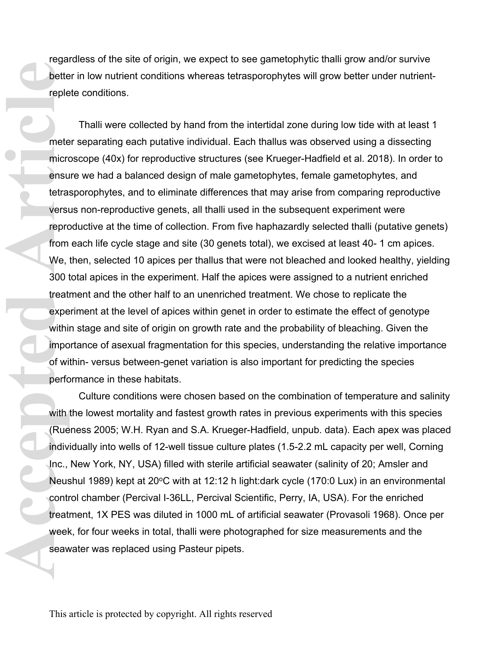regardless of the site of origin, we expect to see gametophytic thalli grow and/or survive better in low nutrient conditions whereas tetrasporophytes will grow better under nutrientreplete conditions.

Thalli were collected by hand from the intertidal zone during low tide with at least 1 meter separating each putative individual. Each thallus was observed using a dissecting microscope (40x) for reproductive structures (see Krueger-Hadfield et al. 2018). In order to ensure we had a balanced design of male gametophytes, female gametophytes, and tetrasporophytes, and to eliminate differences that may arise from comparing reproductive versus non-reproductive genets, all thalli used in the subsequent experiment were reproductive at the time of collection. From five haphazardly selected thalli (putative genets) from each life cycle stage and site (30 genets total), we excised at least 40- 1 cm apices. We, then, selected 10 apices per thallus that were not bleached and looked healthy, yielding 300 total apices in the experiment. Half the apices were assigned to a nutrient enriched treatment and the other half to an unenriched treatment. We chose to replicate the experiment at the level of apices within genet in order to estimate the effect of genotype within stage and site of origin on growth rate and the probability of bleaching. Given the importance of asexual fragmentation for this species, understanding the relative importance of within- versus between-genet variation is also important for predicting the species performance in these habitats. bette<br>
reple<br>
mete<br>
micro<br>
mete<br>
micro<br>
ensu<br>
tera:<br>
versu<br>
repro<br>
from<br>
We,<br>
300 t treat<br>
expe<br>
withii<br>
impo<br>
of wi<br>
perfo<br>
withii<br>
impo<br>
of wi<br>
perfo<br>
withii<br>
impo<br>
of wi<br>
perfo<br>
withii<br>
impo<br>
of wi<br>
perfo<br>
contreat<br>
con

Culture conditions were chosen based on the combination of temperature and salinity with the lowest mortality and fastest growth rates in previous experiments with this species (Rueness 2005; W.H. Ryan and S.A. Krueger-Hadfield, unpub. data). Each apex was placed individually into wells of 12-well tissue culture plates (1.5-2.2 mL capacity per well, Corning Inc., New York, NY, USA) filled with sterile artificial seawater (salinity of 20; Amsler and Neushul 1989) kept at 20°C with at 12:12 h light:dark cycle (170:0 Lux) in an environmental control chamber (Percival I-36LL, Percival Scientific, Perry, IA, USA). For the enriched treatment, 1X PES was diluted in 1000 mL of artificial seawater (Provasoli 1968). Once per week, for four weeks in total, thalli were photographed for size measurements and the seawater was replaced using Pasteur pipets.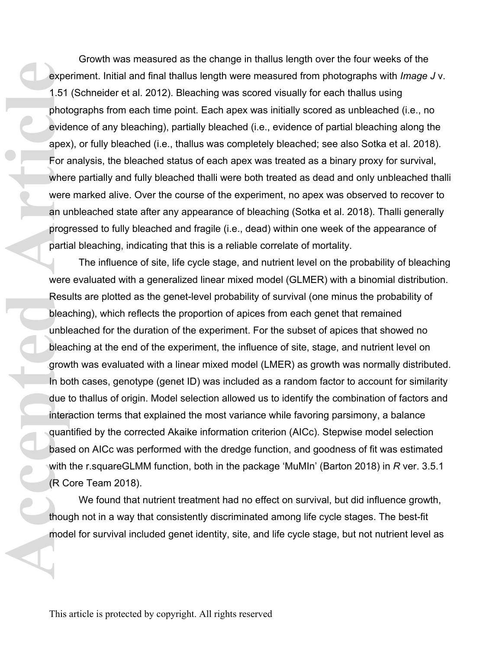Growth was measured as the change in thallus length over the four weeks of the experiment. Initial and final thallus length were measured from photographs with *Image J* v. 1.51 (Schneider et al. 2012). Bleaching was scored visually for each thallus using photographs from each time point. Each apex was initially scored as unbleached (i.e., no evidence of any bleaching), partially bleached (i.e., evidence of partial bleaching along the apex), or fully bleached (i.e., thallus was completely bleached; see also Sotka et al. 2018). For analysis, the bleached status of each apex was treated as a binary proxy for survival, where partially and fully bleached thalli were both treated as dead and only unbleached thalli were marked alive. Over the course of the experiment, no apex was observed to recover to an unbleached state after any appearance of bleaching (Sotka et al. 2018). Thalli generally progressed to fully bleached and fragile (i.e., dead) within one week of the appearance of partial bleaching, indicating that this is a reliable correlate of mortality.

The influence of site, life cycle stage, and nutrient level on the probability of bleaching were evaluated with a generalized linear mixed model (GLMER) with a binomial distribution. Results are plotted as the genet-level probability of survival (one minus the probability of bleaching), which reflects the proportion of apices from each genet that remained unbleached for the duration of the experiment. For the subset of apices that showed no bleaching at the end of the experiment, the influence of site, stage, and nutrient level on growth was evaluated with a linear mixed model (LMER) as growth was normally distributed. In both cases, genotype (genet ID) was included as a random factor to account for similarity due to thallus of origin. Model selection allowed us to identify the combination of factors and interaction terms that explained the most variance while favoring parsimony, a balance quantified by the corrected Akaike information criterion (AICc). Stepwise model selection based on AICc was performed with the dredge function, and goodness of fit was estimated with the r.squareGLMM function, both in the package 'MuMIn' (Barton 2018) in *R* ver. 3.5.1 (R Core Team 2018). expertite to the transferred and the transferred and the transferred and the transferred and the transferred and the transferred and the transferred and the transferred and the transferred and the transferred and the trans

We found that nutrient treatment had no effect on survival, but did influence growth, though not in a way that consistently discriminated among life cycle stages. The best-fit model for survival included genet identity, site, and life cycle stage, but not nutrient level as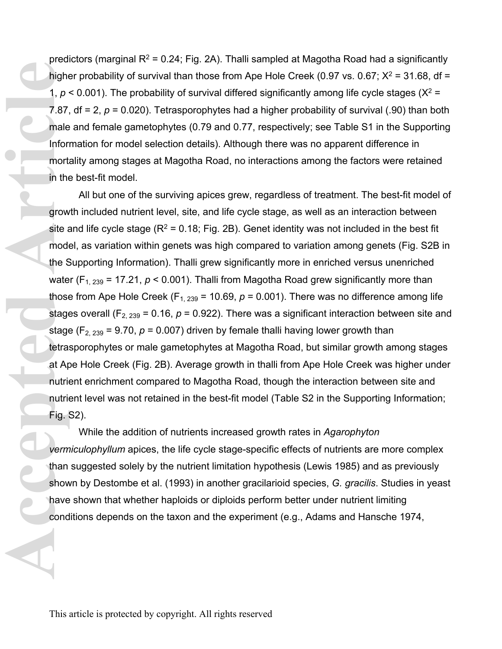predictors (marginal  $R^2$  = 0.24; Fig. 2A). Thalli sampled at Magotha Road had a significantly higher probability of survival than those from Ape Hole Creek (0.97 vs. 0.67;  $X^2 = 31.68$ , df = 1,  $p$  < 0.001). The probability of survival differed significantly among life cycle stages ( $X^2$  = 7.87,  $df = 2$ ,  $p = 0.020$ ). Tetrasporophytes had a higher probability of survival (.90) than both male and female gametophytes (0.79 and 0.77, respectively; see Table S1 in the Supporting Information for model selection details). Although there was no apparent difference in mortality among stages at Magotha Road, no interactions among the factors were retained in the best-fit model.

All but one of the surviving apices grew, regardless of treatment. The best-fit model of growth included nutrient level, site, and life cycle stage, as well as an interaction between site and life cycle stage  $(R^2 = 0.18; Fig. 2B)$ . Genet identity was not included in the best fit model, as variation within genets was high compared to variation among genets (Fig. S2B in the Supporting Information). Thalli grew significantly more in enriched versus unenriched water (F<sub>1, 239</sub> = 17.21,  $p < 0.001$ ). Thalli from Magotha Road grew significantly more than those from Ape Hole Creek ( $F_{1, 239}$  = 10.69,  $p$  = 0.001). There was no difference among life stages overall ( $F_{2, 239}$  = 0.16,  $p$  = 0.922). There was a significant interaction between site and stage ( $F_{2, 239}$  = 9.70,  $p$  = 0.007) driven by female thalli having lower growth than tetrasporophytes or male gametophytes at Magotha Road, but similar growth among stages at Ape Hole Creek (Fig. 2B). Average growth in thalli from Ape Hole Creek was higher under nutrient enrichment compared to Magotha Road, though the interaction between site and nutrient level was not retained in the best-fit model (Table S2 in the Supporting Information; Fig. S2). **Accepted Articles Articles Articles Articles Articles Articles Articles Articles Articles Articles Articles Articles Articles Articles Articles Articles Articles Articles Articles Articles Articles Articles Articles Artic** 

While the addition of nutrients increased growth rates in *Agarophyton vermiculophyllum* apices, the life cycle stage-specific effects of nutrients are more complex than suggested solely by the nutrient limitation hypothesis (Lewis 1985) and as previously shown by Destombe et al. (1993) in another gracilarioid species, *G. gracilis*. Studies in yeast have shown that whether haploids or diploids perform better under nutrient limiting conditions depends on the taxon and the experiment (e.g., Adams and Hansche 1974,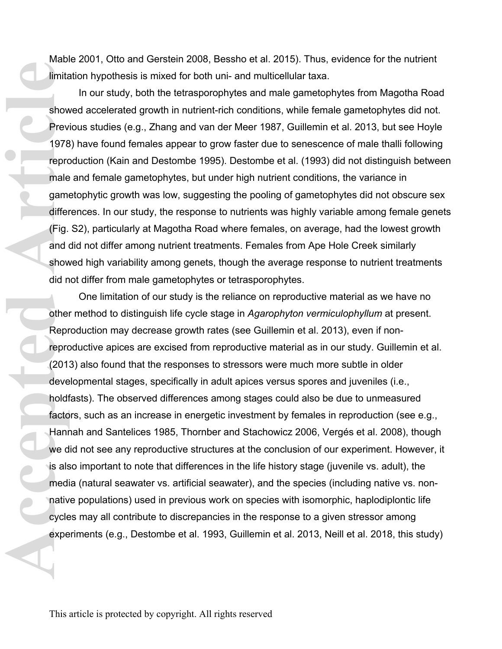Mable 2001, Otto and Gerstein 2008, Bessho et al. 2015). Thus, evidence for the nutrient limitation hypothesis is mixed for both uni- and multicellular taxa.

In our study, both the tetrasporophytes and male gametophytes from Magotha Road showed accelerated growth in nutrient-rich conditions, while female gametophytes did not. Previous studies (e.g., Zhang and van der Meer 1987, Guillemin et al. 2013, but see Hoyle 1978) have found females appear to grow faster due to senescence of male thalli following reproduction (Kain and Destombe 1995). Destombe et al. (1993) did not distinguish between male and female gametophytes, but under high nutrient conditions, the variance in gametophytic growth was low, suggesting the pooling of gametophytes did not obscure sex differences. In our study, the response to nutrients was highly variable among female genets (Fig. S2), particularly at Magotha Road where females, on average, had the lowest growth and did not differ among nutrient treatments. Females from Ape Hole Creek similarly showed high variability among genets, though the average response to nutrient treatments did not differ from male gametophytes or tetrasporophytes.

One limitation of our study is the reliance on reproductive material as we have no other method to distinguish life cycle stage in *Agarophyton vermiculophyllum* at present. Reproduction may decrease growth rates (see Guillemin et al. 2013), even if nonreproductive apices are excised from reproductive material as in our study. Guillemin et al. (2013) also found that the responses to stressors were much more subtle in older developmental stages, specifically in adult apices versus spores and juveniles (i.e., holdfasts). The observed differences among stages could also be due to unmeasured factors, such as an increase in energetic investment by females in reproduction (see e.g., Hannah and Santelices 1985, Thornber and Stachowicz 2006, Vergés et al. 2008), though we did not see any reproductive structures at the conclusion of our experiment. However, it is also important to note that differences in the life history stage (juvenile vs. adult), the media (natural seawater vs. artificial seawater), and the species (including native vs. nonnative populations) used in previous work on species with isomorphic, haplodiplontic life cycles may all contribute to discrepancies in the response to a given stressor among experiments (e.g., Destombe et al. 1993, Guillemin et al. 2013, Neill et al. 2018, this study) Finite<br>
show<br>
Prev<br>
1978<br>
reproduct<br>
differ<br>
(Fig. and of show<br>
did n<br>
other<br>
Repr<br>
reproduct<br>
Repr<br>
reproduct<br>
here reproduct<br>
and other<br>
Repr<br>
reproduct<br>
and other<br>
Repr<br>
reproduct<br>
and is als<br>
med is als<br>
med is als<br>
me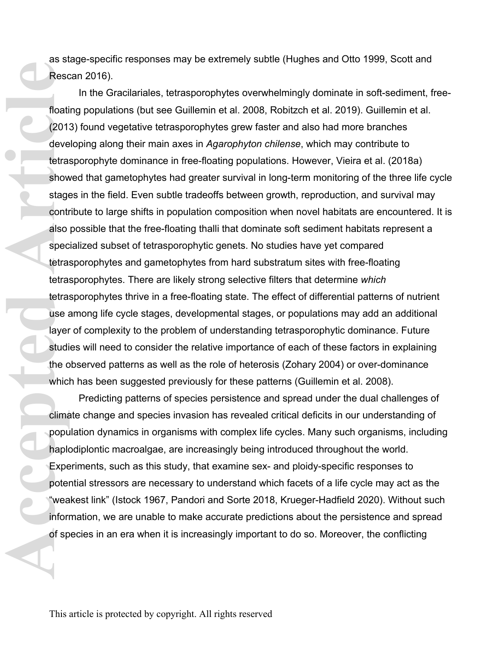as stage-specific responses may be extremely subtle (Hughes and Otto 1999, Scott and Rescan 2016).

In the Gracilariales, tetrasporophytes overwhelmingly dominate in soft-sediment, freefloating populations (but see Guillemin et al. 2008, Robitzch et al. 2019). Guillemin et al. (2013) found vegetative tetrasporophytes grew faster and also had more branches developing along their main axes in *Agarophyton chilense*, which may contribute to tetrasporophyte dominance in free-floating populations. However, Vieira et al. (2018a) showed that gametophytes had greater survival in long-term monitoring of the three life cycle stages in the field. Even subtle tradeoffs between growth, reproduction, and survival may contribute to large shifts in population composition when novel habitats are encountered. It is also possible that the free-floating thalli that dominate soft sediment habitats represent a specialized subset of tetrasporophytic genets. No studies have yet compared tetrasporophytes and gametophytes from hard substratum sites with free-floating tetrasporophytes. There are likely strong selective filters that determine *which* tetrasporophytes thrive in a free-floating state. The effect of differential patterns of nutrient use among life cycle stages, developmental stages, or populations may add an additional layer of complexity to the problem of understanding tetrasporophytic dominance. Future studies will need to consider the relative importance of each of these factors in explaining the observed patterns as well as the role of heterosis (Zohary 2004) or over-dominance which has been suggested previously for these patterns (Guillemin et al. 2008). Resc<br>
floati<br>
(2011<br>
deve<br>
tetra:<br>
show<br>
stage<br>
contr<br>
also<br>
spec<br>
tetra:<br>
tetra:<br>
tetra:<br>
tetra:<br>
tetra:<br>
tetra:<br>
tetra:<br>
tetra:<br>
tetra:<br>
tetra:<br>
tetra:<br>
show<br>
studi the c<br>
whic<br>
Clima<br>
popu<br>
haplk<br>
Expe<br>
poter<br>
wea<br>
info

Predicting patterns of species persistence and spread under the dual challenges of climate change and species invasion has revealed critical deficits in our understanding of population dynamics in organisms with complex life cycles. Many such organisms, including haplodiplontic macroalgae, are increasingly being introduced throughout the world. Experiments, such as this study, that examine sex- and ploidy-specific responses to potential stressors are necessary to understand which facets of a life cycle may act as the "weakest link" (Istock 1967, Pandori and Sorte 2018, Krueger-Hadfield 2020). Without such information, we are unable to make accurate predictions about the persistence and spread of species in an era when it is increasingly important to do so. Moreover, the conflicting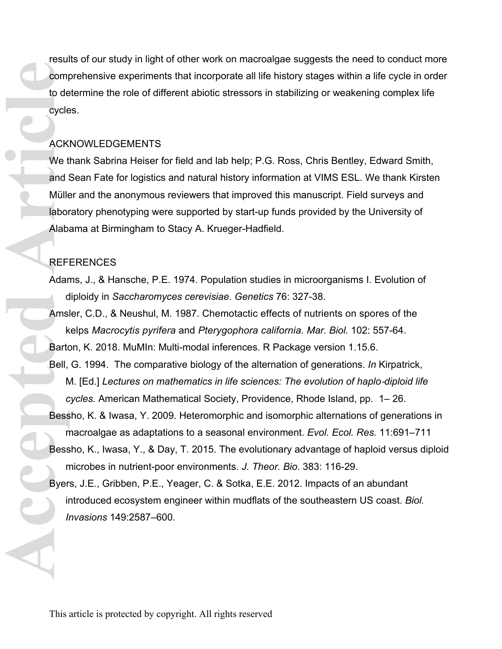results of our study in light of other work on macroalgae suggests the need to conduct more comprehensive experiments that incorporate all life history stages within a life cycle in order to determine the role of different abiotic stressors in stabilizing or weakening complex life cycles.

## ACKNOWLEDGEMENTS

We thank Sabrina Heiser for field and lab help; P.G. Ross, Chris Bentley, Edward Smith, and Sean Fate for logistics and natural history information at VIMS ESL. We thank Kirsten Müller and the anonymous reviewers that improved this manuscript. Field surveys and laboratory phenotyping were supported by start-up funds provided by the University of Alabama at Birmingham to Stacy A. Krueger-Hadfield. **Ack We t**<br> **Ack We t**<br> **Ack We t**<br> **Ack We t**<br> **Alabor**<br> **Alabor**<br> **Alabor**<br> **Alabor**<br> **Alabor**<br> **Alabor**<br> **Alabor**<br> **Alabor**<br> **Alabor**<br> **Alabor**<br> **Alabor**<br> **Alabor**<br> **Alabor**<br> **Alabor**<br> **Alabor**<br> **Alabor**<br> **Alabor**<br> **Ala** 

## REFERENCES

- Adams, J., & Hansche, P.E. 1974. Population studies in microorganisms I. Evolution of diploidy in *Saccharomyces cerevisiae*. *Genetics* 76: 327-38.
- Amsler, C.D., & Neushul, M. 1987. Chemotactic effects of nutrients on spores of the kelps *Macrocytis pyrifera* and *Pterygophora california. Mar. Biol.* 102: 557-64.

Barton, K. 2018. MuMIn: Multi-modal inferences. R Package version 1.15.6.

microbes in nutrient-poor environments. *J. Theor. Bio.* 383: 116-29.

- Bell, G. 1994. The comparative biology of the alternation of generations. *In* Kirpatrick, M. [Ed.] Lectures on mathematics in life sciences: The evolution of haplo-diploid life *cycles.* American Mathematical Society, Providence, Rhode Island, pp. 1– 26.
- Bessho, K. & Iwasa, Y. 2009. Heteromorphic and isomorphic alternations of generations in macroalgae as adaptations to a seasonal environment. *Evol. Ecol. Res.* 11:691–711 Bessho, K., Iwasa, Y., & Day, T. 2015. The evolutionary advantage of haploid versus diploid

Byers, J.E., Gribben, P.E., Yeager, C. & Sotka, E.E. 2012. Impacts of an abundant introduced ecosystem engineer within mudflats of the southeastern US coast. *Biol. Invasions* 149:2587–600.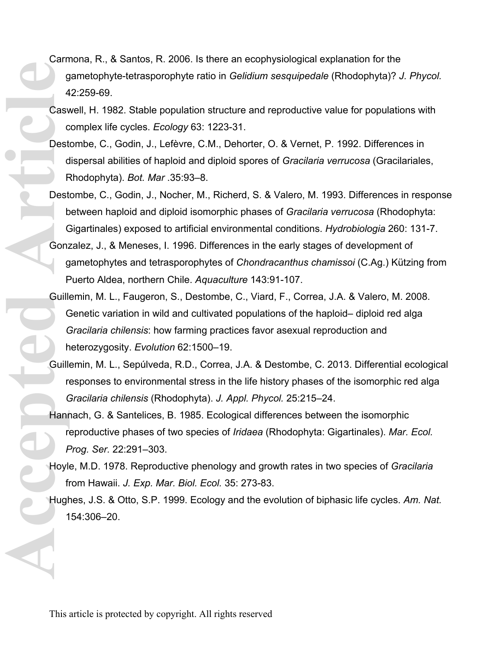- Carmona, R., & Santos, R. 2006. Is there an ecophysiological explanation for the gametophyte-tetrasporophyte ratio in *Gelidium sesquipedale* (Rhodophyta)? *J. Phycol.*  42:259-69.
- Caswell, H. 1982. Stable population structure and reproductive value for populations with complex life cycles. *Ecology* 63: 1223-31.
- Destombe, C., Godin, J., Lefèvre, C.M., Dehorter, O. & Vernet, P. 1992. Differences in dispersal abilities of haploid and diploid spores of *Gracilaria verrucosa* (Gracilariales, Rhodophyta). *Bot. Mar* .35:93–8.
- Destombe, C., Godin, J., Nocher, M., Richerd, S. & Valero, M. 1993. Differences in response between haploid and diploid isomorphic phases of *Gracilaria verrucosa* (Rhodophyta: Gigartinales) exposed to artificial environmental conditions. *Hydrobiologia* 260: 131-7.
- Gonzalez, J., & Meneses, I. 1996. Differences in the early stages of development of gametophytes and tetrasporophytes of *Chondracanthus chamissoi* (C.Ag.) Kützing from Puerto Aldea, northern Chile. *Aquaculture* 143:91-107.
- Guillemin, M. L., Faugeron, S., Destombe, C., Viard, F., Correa, J.A. & Valero, M. 2008. Genetic variation in wild and cultivated populations of the haploid– diploid red alga *Gracilaria chilensis*: how farming practices favor asexual reproduction and heterozygosity. *Evolution* 62:1500–19. Casy contract de la des de la de la de la de la de la de la de la de la de la de la de la de la de la de la de la de la de la de la de la de la de la de la de la de la de la de la de la de la de la de la de la de la de la
	- Guillemin, M. L., Sepúlveda, R.D., Correa, J.A. & Destombe, C. 2013. Differential ecological responses to environmental stress in the life history phases of the isomorphic red alga *Gracilaria chilensis* (Rhodophyta). *J. Appl. Phycol.* 25:215–24.
	- Hannach, G. & Santelices, B. 1985. Ecological differences between the isomorphic reproductive phases of two species of *Iridaea* (Rhodophyta: Gigartinales). *Mar. Ecol. Prog. Ser.* 22:291–303.
	- Hoyle, M.D. 1978. Reproductive phenology and growth rates in two species of *Gracilaria* from Hawaii. *J. Exp. Mar. Biol. Ecol.* 35: 273-83.
	- Hughes, J.S. & Otto, S.P. 1999. Ecology and the evolution of biphasic life cycles. *Am. Nat.* 154:306–20.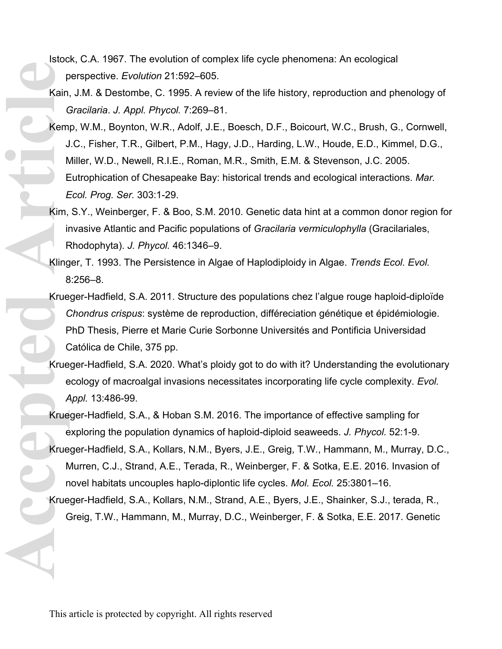- Istock, C.A. 1967. The evolution of complex life cycle phenomena: An ecological perspective. *Evolution* 21:592–605.
- Kain, J.M. & Destombe, C. 1995. A review of the life history, reproduction and phenology of *Gracilaria*. *J. Appl. Phycol.* 7:269–81.
- Kemp, W.M., Boynton, W.R., Adolf, J.E., Boesch, D.F., Boicourt, W.C., Brush, G., Cornwell, J.C., Fisher, T.R., Gilbert, P.M., Hagy, J.D., Harding, L.W., Houde, E.D., Kimmel, D.G., Miller, W.D., Newell, R.I.E., Roman, M.R., Smith, E.M. & Stevenson, J.C. 2005. Eutrophication of Chesapeake Bay: historical trends and ecological interactions. *Mar. Ecol. Prog. Ser.* 303:1-29. **Accepted Article**<br> **Accepted Article**<br> **Accepted Article**<br> **Article**<br> **Article**<br> **Article**<br> **Article**<br> **Article**<br> **Article**<br> **Article**<br> **Article**<br> **Article**<br> **Article**<br> **Article** 
	- Kim, S.Y., Weinberger, F. & Boo, S.M. 2010. Genetic data hint at a common donor region for invasive Atlantic and Pacific populations of *Gracilaria vermiculophylla* (Gracilariales, Rhodophyta). *J. Phycol.* 46:1346–9.
	- Klinger, T. 1993. The Persistence in Algae of Haplodiploidy in Algae. *Trends Ecol. Evol.*  8:256–8.
	- Krueger-Hadfield, S.A. 2011. Structure des populations chez l'algue rouge haploid-diploïde *Chondrus crispus*: système de reproduction, différeciation génétique et épidémiologie. PhD Thesis, Pierre et Marie Curie Sorbonne Universités and Pontificia Universidad Católica de Chile, 375 pp.
	- Krueger-Hadfield, S.A. 2020. What's ploidy got to do with it? Understanding the evolutionary ecology of macroalgal invasions necessitates incorporating life cycle complexity. *Evol. Appl.* 13:486-99.
	- Krueger-Hadfield, S.A., & Hoban S.M. 2016. The importance of effective sampling for exploring the population dynamics of haploid-diploid seaweeds. *J. Phycol.* 52:1-9.
	- Krueger-Hadfield, S.A., Kollars, N.M., Byers, J.E., Greig, T.W., Hammann, M., Murray, D.C., Murren, C.J., Strand, A.E., Terada, R., Weinberger, F. & Sotka, E.E. 2016. Invasion of novel habitats uncouples haplo-diplontic life cycles. *Mol. Ecol.* 25:3801–16.
	- Krueger-Hadfield, S.A., Kollars, N.M., Strand, A.E., Byers, J.E., Shainker, S.J., terada, R., Greig, T.W., Hammann, M., Murray, D.C., Weinberger, F. & Sotka, E.E. 2017. Genetic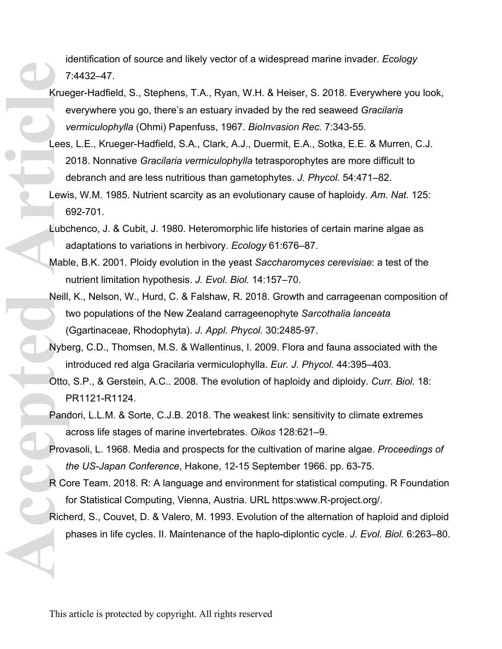identification of source and likely vector of a widespread marine invader. *Ecology* 7:4432–47.

- Krueger-Hadfield, S., Stephens, T.A., Ryan, W.H. & Heiser, S. 2018. Everywhere you look, everywhere you go, there's an estuary invaded by the red seaweed *Gracilaria vermiculophylla* (Ohmi) Papenfuss, 1967. *BioInvasion Rec.* 7:343-55. **Accepted Article**
	- Lees, L.E., Krueger-Hadfield, S.A., Clark, A.J., Duermit, E.A., Sotka, E.E. & Murren, C.J. 2018. Nonnative *Gracilaria vermiculophylla* tetrasporophytes are more difficult to debranch and are less nutritious than gametophytes. *J. Phycol.* 54:471–82.
	- Lewis, W.M. 1985. Nutrient scarcity as an evolutionary cause of haploidy. *Am. Nat.* 125: 692-701.
	- Lubchenco, J. & Cubit, J. 1980. Heteromorphic life histories of certain marine algae as adaptations to variations in herbivory. *Ecology* 61:676–87.
	- Mable, B.K. 2001. Ploidy evolution in the yeast *Saccharomyces cerevisiae*: a test of the nutrient limitation hypothesis. *J. Evol. Biol.* 14:157–70.
	- Neill, K., Nelson, W., Hurd, C. & Falshaw, R. 2018. Growth and carrageenan composition of two populations of the New Zealand carrageenophyte *Sarcothalia lanceata* (Ggartinaceae, Rhodophyta). *J. Appl. Phycol.* 30:2485-97.
	- Nyberg, C.D., Thomsen, M.S. & Wallentinus, I. 2009. Flora and fauna associated with the introduced red alga Gracilaria vermiculophylla. *Eur. J. Phycol.* 44:395–403.
	- Otto, S.P., & Gerstein, A.C.. 2008. The evolution of haploidy and diploidy. *Curr. Biol.* 18: PR1121-R1124.
	- Pandori, L.L.M. & Sorte, C.J.B. 2018. The weakest link: sensitivity to climate extremes across life stages of marine invertebrates. *Oikos* 128:621–9.
	- Provasoli, L. 1968. Media and prospects for the cultivation of marine algae. *Proceedings of the US-Japan Conference*, Hakone, 12-15 September 1966. pp. 63-75.
	- R Core Team. 2018. R: A language and environment for statistical computing. R Foundation for Statistical Computing, Vienna, Austria. URL https:www.R-project.org/.
	- Richerd, S., Couvet, D. & Valero, M. 1993. Evolution of the alternation of haploid and diploid phases in life cycles. II. Maintenance of the haplo-diplontic cycle. *J. Evol. Biol.* 6:263–80.

This article is protected by copyright. All rights reserved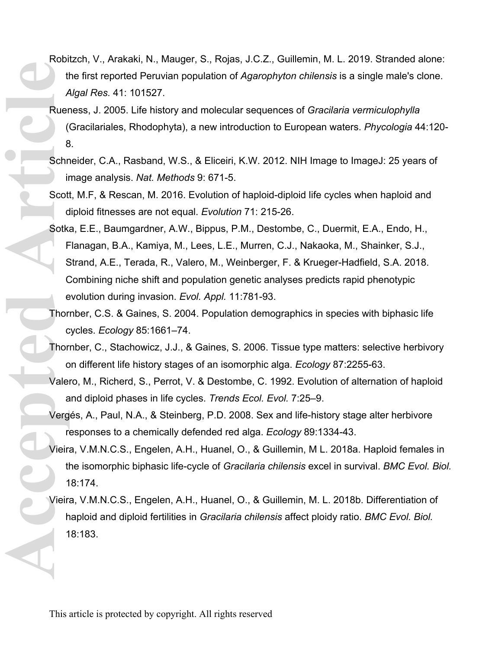- Robitzch, V., Arakaki, N., Mauger, S., Rojas, J.C.Z., Guillemin, M. L. 2019. Stranded alone: the first reported Peruvian population of *Agarophyton chilensis* is a single male's clone. *Algal Res.* 41: 101527.
- Rueness, J. 2005. Life history and molecular sequences of *Gracilaria vermiculophylla* (Gracilariales, Rhodophyta), a new introduction to European waters. *Phycologia* 44:120- 8.
- Schneider, C.A., Rasband, W.S., & Eliceiri, K.W. 2012. NIH Image to ImageJ: 25 years of image analysis. *Nat. Methods* 9: 671-5.
- Scott, M.F, & Rescan, M. 2016. Evolution of haploid-diploid life cycles when haploid and diploid fitnesses are not equal. *Evolution* 71: 215-26.
- Sotka, E.E., Baumgardner, A.W., Bippus, P.M., Destombe, C., Duermit, E.A., Endo, H., Flanagan, B.A., Kamiya, M., Lees, L.E., Murren, C.J., Nakaoka, M., Shainker, S.J., Strand, A.E., Terada, R., Valero, M., Weinberger, F. & Krueger-Hadfield, S.A. 2018. Combining niche shift and population genetic analyses predicts rapid phenotypic evolution during invasion. *Evol. Appl.* 11:781-93. He Ruer (Ruer Contract Contract Contract Contract Contract Contract Contract Contract Contract Contract Contract Contract Contract Contract Contract Contract Contract Contract Contract Contract Contract Contract Contract C
	- Thornber, C.S. & Gaines, S. 2004. Population demographics in species with biphasic life cycles. *Ecology* 85:1661–74.
	- Thornber, C., Stachowicz, J.J., & Gaines, S. 2006. Tissue type matters: selective herbivory on different life history stages of an isomorphic alga. *Ecology* 87:2255-63.
	- Valero, M., Richerd, S., Perrot, V. & Destombe, C. 1992. Evolution of alternation of haploid and diploid phases in life cycles. *Trends Ecol. Evol.* 7:25–9.
	- Vergés, A., Paul, N.A., & Steinberg, P.D. 2008. Sex and life-history stage alter herbivore responses to a chemically defended red alga. *Ecology* 89:1334-43.
	- Vieira, V.M.N.C.S., Engelen, A.H., Huanel, O., & Guillemin, M L. 2018a. Haploid females in the isomorphic biphasic life-cycle of *Gracilaria chilensis* excel in survival. *BMC Evol. Biol.* 18:174.
	- Vieira, V.M.N.C.S., Engelen, A.H., Huanel, O., & Guillemin, M. L. 2018b. Differentiation of haploid and diploid fertilities in *Gracilaria chilensis* affect ploidy ratio. *BMC Evol. Biol.* 18:183.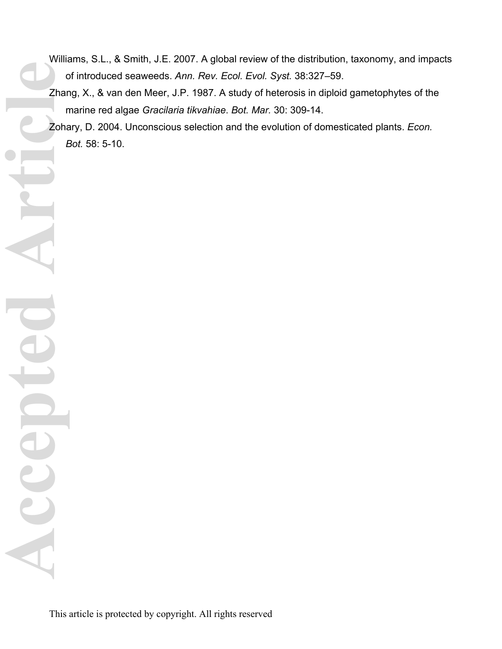- Williams, S.L., & Smith, J.E. 2007. A global review of the distribution, taxonomy, and impacts of introduced seaweeds. *Ann. Rev. Ecol. Evol. Syst.* 38:327–59.
- Zhang, X., & van den Meer, J.P. 1987. A study of heterosis in diploid gametophytes of the marine red algae *Gracilaria tikvahiae*. *Bot. Mar.* 30: 309-14.
- Zohary, D. 2004. Unconscious selection and the evolution of domesticated plants. *Econ. Bot.* 58: 5-10. Accepted Articl<sup>e</sup>

This article is protected by copyright. All rights reserved

te

CCCED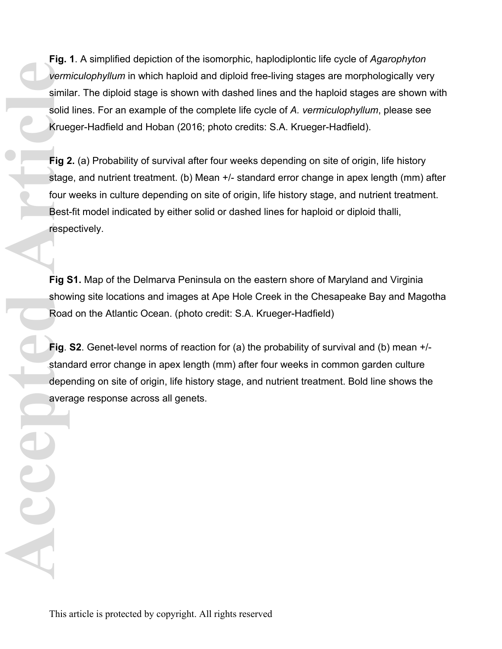**Fig. 1**. A simplified depiction of the isomorphic, haplodiplontic life cycle of *Agarophyton vermiculophyllum* in which haploid and diploid free-living stages are morphologically very similar. The diploid stage is shown with dashed lines and the haploid stages are shown with solid lines. For an example of the complete life cycle of *A. vermiculophyllum*, please see Krueger-Hadfield and Hoban (2016; photo credits: S.A. Krueger-Hadfield).

**Fig 2.** (a) Probability of survival after four weeks depending on site of origin, life history stage, and nutrient treatment. (b) Mean +/- standard error change in apex length (mm) after four weeks in culture depending on site of origin, life history stage, and nutrient treatment. Best-fit model indicated by either solid or dashed lines for haploid or diploid thalli, respectively. **Accepted Articles Articles Articles Articles Articles Articles Articles Articles Articles Articles Articles Articles Articles Articles Articles Articles Articles Articles Articles Articles Articles Articles Articles Artic** 

**Fig S1.** Map of the Delmarva Peninsula on the eastern shore of Maryland and Virginia showing site locations and images at Ape Hole Creek in the Chesapeake Bay and Magotha Road on the Atlantic Ocean. (photo credit: S.A. Krueger-Hadfield)

**Fig**. **S2**. Genet-level norms of reaction for (a) the probability of survival and (b) mean +/ standard error change in apex length (mm) after four weeks in common garden culture depending on site of origin, life history stage, and nutrient treatment. Bold line shows the average response across all genets.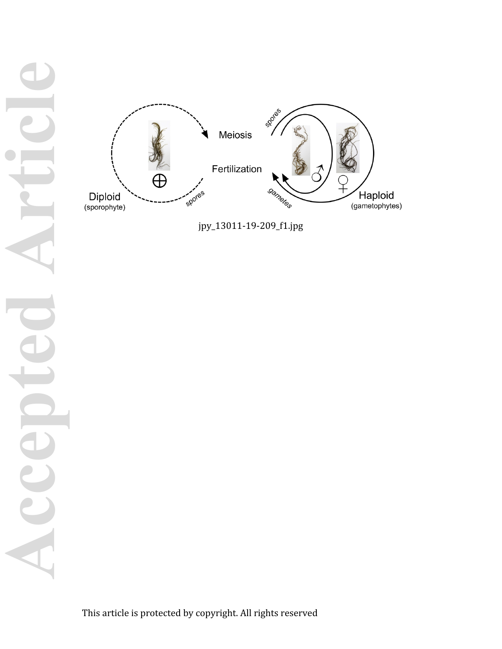